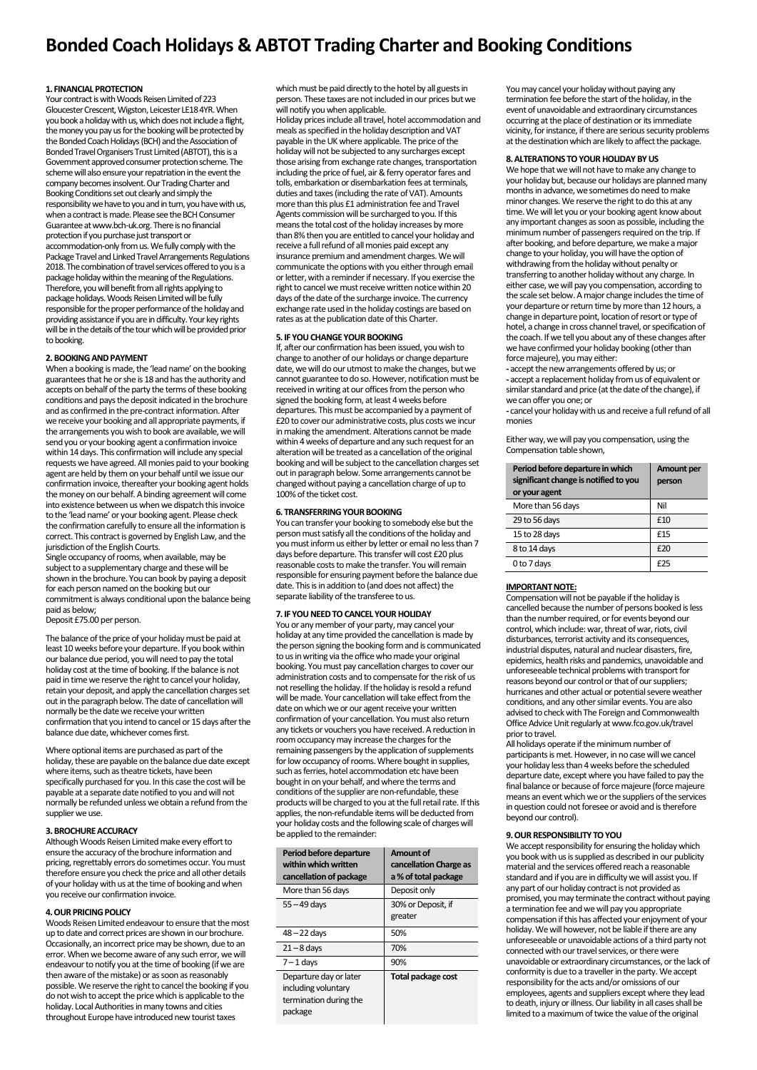# **Bonded Coach Holidays & ABTOT Trading Charter and Booking Conditions**

#### **1. FINANCIAL PROTECTION**

Your contract is with Woods Reisen Limited of 223 Gloucester Crescent, Wigston, Leicester LE18 4YR. When you book a holiday with us, which does not include a flight, the money you pay us for the booking will be protected by the Bonded Coach Holidays (BCH) and the Association of Bonded Travel Organisers Trust Limited (ABTOT), this is a Government approved consumer protection scheme. The scheme will also ensure your repatriation in the event the company becomes insolvent. Our Trading Charter and Booking Conditions set out clearly and simply the responsibility we have to you and in turn, you have with us, when a contract is made. Please see the BCH Consumer Guarantee at www.bch-uk.org. There is no financial protection if you purchase just transport or accommodation-only from us. We fully comply with the Package Travel and Linked Travel Arrangements Regulations 2018. The combination of travel services offered to you is a package holiday within the meaning of the Regulations. Therefore, you will benefit from all rights applying to package holidays. Woods Reisen Limited will be fully responsible for the proper performance of the holiday and providing assistance if you are in difficulty. Your key rights will be in the details of the tour which will be provided prior to booking.

#### **2. BOOKING AND PAYMENT**

When a booking is made, the 'lead name' on the booking guarantees that he or she is 18 and has the authority and accepts on behalf of the party the terms of these booking conditions and pays the deposit indicated in the brochure and as confirmed in the pre-contract information. After we receive your booking and all appropriate payments, if the arrangements you wish to book are available, we will send you or your booking agent a confirmation invoice within 14 days. This confirmation will include any special requests we have agreed. All monies paid to your booking agent are held by them on your behalf until we issue our confirmation invoice, thereafter your booking agent holds the money on our behalf. A binding agreement will come into existence between us when we dispatch this invoice to the 'lead name' or your booking agent. Please check the confirmation carefully to ensure all the information is correct. This contract is governed by English Law, and the jurisdiction of the English Courts.

Single occupancy of rooms, when available, may be subject to a supplementary charge and these will be shown in the brochure. You can book by paying a deposit for each person named on the booking but our commitment is always conditional upon the balance being paid as below;

Deposit £75.00 per person.

The balance of the price of your holiday must be paid at least 10 weeks before your departure. If you book within our balance due period, you will need to pay the total holiday cost at the time of booking. If the balance is not paid in time we reserve the right to cancel your holiday, retain your deposit, and apply the cancellation charges set out in the paragraph below. The date of cancellation will normally be the date we receive your written confirmation that you intend to cancel or 15 days after the balance due date, whichever comes first.

Where optional items are purchased as part of the holiday, these are payable on the balance due date except where items, such as theatre tickets, have been specifically purchased for you. In this case the cost will be payable at a separate date notified to you and will not normally be refunded unless we obtain a refund from the supplier we use.

## **3. BROCHURE ACCURACY**

Although Woods Reisen Limited make every effort to ensure the accuracy of the brochure information and pricing, regrettably errors do sometimes occur. You must therefore ensure you check the price and all other details of your holiday with us atthe time of booking and when you receive our confirmation invoice.

#### **4. OUR PRICING POLICY**

Woods Reisen Limited endeavour to ensure that the most up to date and correct prices are shown in our brochure. Occasionally, an incorrect price may be shown, due to an error. When we become aware of any such error, we will endeavour to notify you at the time of booking (if we are then aware of the mistake) or as soon as reasonably possible. We reserve the right to cancel the booking if you do not wish to accept the price which is applicable to the holiday. Local Authorities in many towns and cities throughout Europe have introduced new tourist taxes

which must be paid directly to the hotel by all guests in person. These taxes are not included in our prices but we will notify you when applicable.

Holiday prices include all travel, hotel accommodation and meals as specified in the holiday description and VAT payable in the UK where applicable. The price of the holiday will not be subjected to any surcharges except those arising from exchange rate changes, transportation including the price of fuel, air & ferry operator fares and tolls, embarkation or disembarkation fees at terminals, duties and taxes (including the rate of VAT). Amounts more than this plus £1 administration fee and Travel Agents commission will be surcharged to you. If this means the total cost of the holiday increases by more than 8% then you are entitled to cancel your holiday and receive a full refund of all monies paid except any insurance premium and amendment charges. We will communicate the options with you either through email or letter, with a reminder if necessary. If you exercise the right to cancel we must receive written notice within 20 days of the date of the surcharge invoice. The currency exchange rate used in the holiday costings are based on rates as at the publication date of this Charter.

#### **5. IF YOU CHANGE YOUR BOOKING**

If, after our confirmation has been issued, you wish to change to another of our holidays or change departure date, we will do our utmost to make the changes, but we cannot guarantee to do so. However, notification must be received in writing at our offices from the person who signed the booking form, at least 4 weeks before departures. This must be accompanied by a payment of £20 to cover our administrative costs, plus costs we incur in making the amendment. Alterations cannot be made within 4 weeks of departure and any such request for an alteration will be treated as a cancellation of the original booking and will be subject to the cancellation charges set out in paragraph below. Some arrangements cannot be changed without paying a cancellation charge of up to 100% of the ticket cost.

#### **6. TRANSFERRING YOUR BOOKING**

You can transfer your booking to somebody else but the person must satisfy all the conditions of the holiday and you must inform us either by letter or email no less than 7 days before departure. This transfer will cost £20 plus reasonable costs to make the transfer. You will remain responsible for ensuring payment before the balance due date. This is in addition to (and does not affect) the separate liability of the transferee to us.

## **7. IF YOU NEED TO CANCEL YOUR HOLIDAY**

You or any member of your party, may cancel your holiday at any time provided the cancellation is made by the person signing the booking form and is communicated to us in writing via the office who made your original booking. You must pay cancellation charges to cover our administration costs and to compensate for the risk of us not reselling the holiday. If the holiday is resold a refund will be made. Your cancellation will take effect from the date on which we or our agent receive your written confirmation of your cancellation. You must also return any tickets or vouchers you have received. A reduction in room occupancy may increase the charges for the remaining passengers by the application of supplements for low occupancy of rooms. Where bought in supplies, such as ferries, hotel accommodation etc have been bought in on your behalf, and where the terms and conditions of the supplier are non-refundable, these products will be charged to you at the full retail rate. If this applies, the non-refundable items will be deducted from your holiday costs and the following scale of charges will be applied to the remainder:

| Period before departure<br>within which written<br>cancellation of package         | Amount of<br>cancellation Charge as<br>a % of total package |
|------------------------------------------------------------------------------------|-------------------------------------------------------------|
| More than 56 days                                                                  | Deposit only                                                |
| $55 - 49$ days                                                                     | 30% or Deposit, if<br>greater                               |
| $48 - 22$ days                                                                     | 50%                                                         |
| $21 - 8$ days                                                                      | 70%                                                         |
| $7 - 1$ days                                                                       | 90%                                                         |
| Departure day or later<br>including voluntary<br>termination during the<br>package | Total package cost                                          |

You may cancel your holiday without paying any termination fee before the start of the holiday, in the event of unavoidable and extraordinary circumstances occurring at the place of destination or its immediate vicinity, for instance, if there are serious security problems at the destination which are likely to affect the package.

#### **8. ALTERATIONS TO YOUR HOLIDAY BY US**

We hope that we will not have to make any change to your holiday but, because our holidays are planned many months in advance, we sometimes do need to make minor changes. We reserve the right to do this at any time. We will let you or your booking agent know about any important changes as soon as possible, including the minimum number of passengers required on the trip. If after booking, and before departure, we make a major change to your holiday, you will have the option of withdrawing from the holiday without penalty or transferring to another holiday without any charge. In either case, we will pay you compensation, according to the scale set below. A major change includes the time of your departure or return time by more than 12 hours, a change in departure point, location of resort or type of hotel, a change in cross channel travel, or specification of the coach. If we tell you about any of these changes after we have confirmed your holiday booking (other than force majeure), you may either:

**-** accept the new arrangements offered by us; or **-** accept a replacement holiday from us of equivalent or similar standard and price (at the date of the change), if we can offer you one; or

**-** cancel your holiday with us and receive a full refund of all monies

Either way, we will pay you compensation, using the Compensation table shown,

| Period before departure in which<br>significant change is notified to you<br>or your agent | Amount per<br>person |
|--------------------------------------------------------------------------------------------|----------------------|
| More than 56 days                                                                          | Nil                  |
| 29 to 56 days                                                                              | £10                  |
| 15 to 28 days                                                                              | £15                  |
| 8 to 14 days                                                                               | £20                  |
| 0 to 7 days                                                                                | £25                  |

#### **IMPORTANT NOTE:**

Compensation will not be payable if the holiday is cancelled because the number of persons booked is less than the number required, or for events beyond our control, which include: war, threat of war, riots, civil disturbances, terrorist activity and its consequences, industrial disputes, natural and nuclear disasters, fire, epidemics, health risks and pandemics, unavoidable and unforeseeable technical problems with transport for reasons beyond our control or that of our suppliers; hurricanes and other actual or potential severe weather conditions, and any other similar events. You are also advised to check with The Foreign and Commonwealth Office Advice Unit regularly at www.fco.gov.uk/travel prior to travel.

All holidays operate if the minimum number of participants is met. However, in no case will we cancel your holiday less than 4 weeks before the scheduled departure date, except where you have failed to pay the final balance or because of force majeure (force majeure means an event which we or the suppliers of the services in question could not foresee or avoid and is therefore beyond our control).

## **9. OUR RESPONSIBILITY TO YOU**

We accept responsibility for ensuring the holiday which you book with us issupplied as described in our publicity material and the services offered reach a reasonable standard and if you are in difficulty we will assist you. If any part of our holiday contract is not provided as promised, you may terminate the contract without paying a termination fee and we will pay you appropriate compensation if this has affected your enjoyment of your holiday. We will however, not be liable if there are any unforeseeable or unavoidable actions of a third party not connected with our travel services, or there were unavoidable or extraordinary circumstances, or the lack of conformity is due to a traveller in the party. We accept responsibility for the acts and/or omissions of our employees, agents and suppliers except where they lead to death, injury or illness. Our liability in all cases shall be limited to a maximum of twice the value of the original